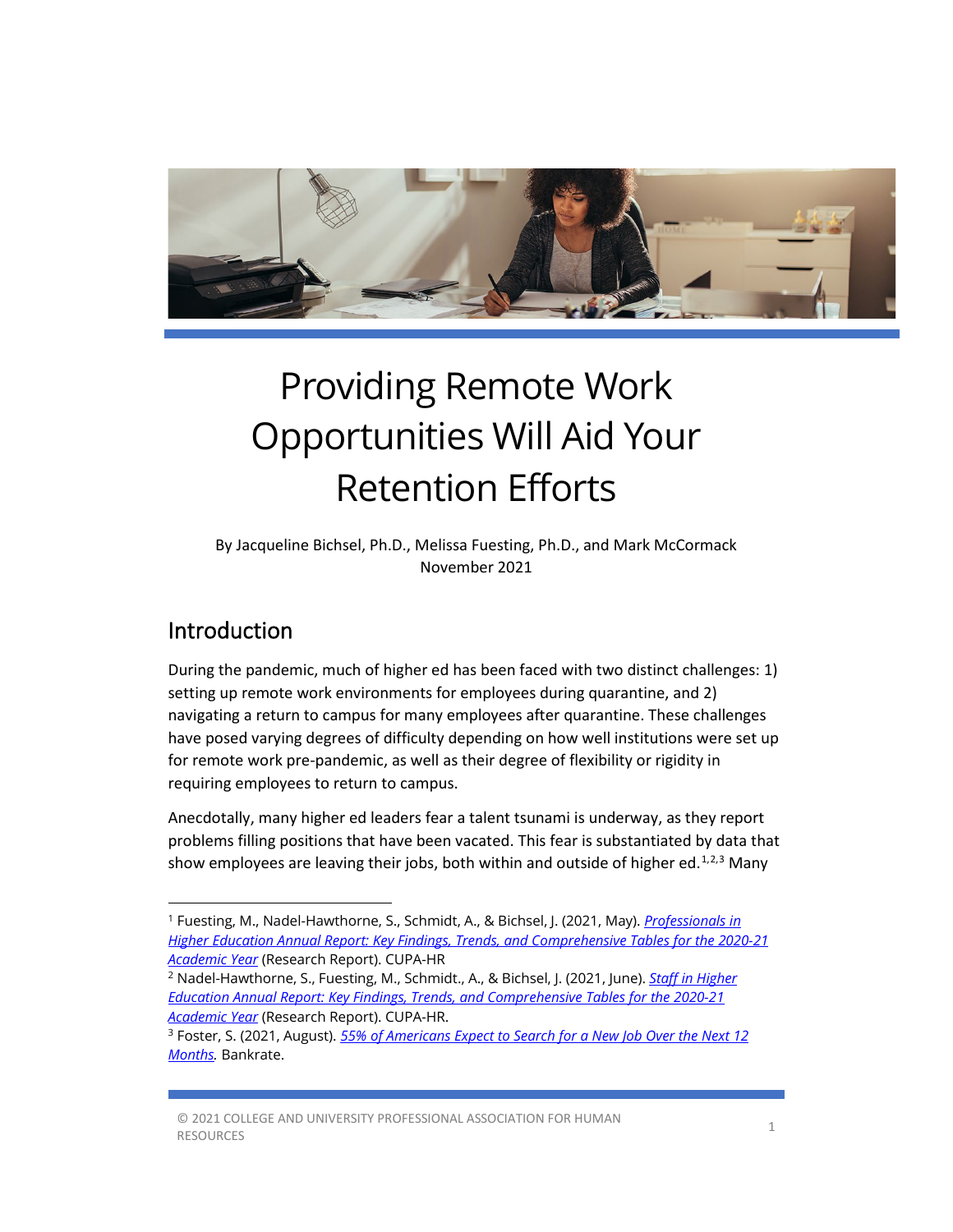

# Providing Remote Work Opportunities Will Aid Your Retention Efforts

By Jacqueline Bichsel, Ph.D., Melissa Fuesting, Ph.D., and Mark McCormack November 2021

#### Introduction

During the pandemic, much of higher ed has been faced with two distinct challenges: 1) setting up remote work environments for employees during quarantine, and 2) navigating a return to campus for many employees after quarantine. These challenges have posed varying degrees of difficulty depending on how well institutions were set up for remote work pre-pandemic, as well as their degree of flexibility or rigidity in requiring employees to return to campus.

Anecdotally, many higher ed leaders fear a talent tsunami is underway, as they report problems filling positions that have been vacated. This fear is substantiated by data that show employees are leaving their jobs, both within and outside of higher ed.<sup>[1](#page-0-0)[,2,](#page-0-1)[3](#page-0-2)</sup> Many

<span id="page-0-0"></span><sup>1</sup> Fuesting, M., Nadel-Hawthorne, S., Schmidt, A., & Bichsel, J. (2021, May). *[Professionals in](https://www.cupahr.org/surveys/professionals-in-higher-education/)  [Higher Education Annual Report: Key Findings, Trends, and Comprehensive Tables for the 2020-21](https://www.cupahr.org/surveys/professionals-in-higher-education/)  [Academic Year](https://www.cupahr.org/surveys/professionals-in-higher-education/)* (Research Report). CUPA-HR

<span id="page-0-1"></span><sup>2</sup> Nadel-Hawthorne, S., Fuesting, M., Schmidt., A., & Bichsel, J. (2021, June). *[Staff in Higher](https://www.cupahr.org/surveys/staff-in-higher-education/)  [Education Annual Report: Key Findings, Trends, and Comprehensive Tables for the 2020-21](https://www.cupahr.org/surveys/staff-in-higher-education/)  [Academic Year](https://www.cupahr.org/surveys/staff-in-higher-education/)* (Research Report). CUPA-HR.

<span id="page-0-2"></span><sup>3</sup> Foster, S. (2021, August). *[55% of Americans Expect to Search for a New Job Over the Next 12](https://www.bankrate.com/personal-finance/job-seekers-survey-august-2021/)  [Months.](https://www.bankrate.com/personal-finance/job-seekers-survey-august-2021/)* Bankrate.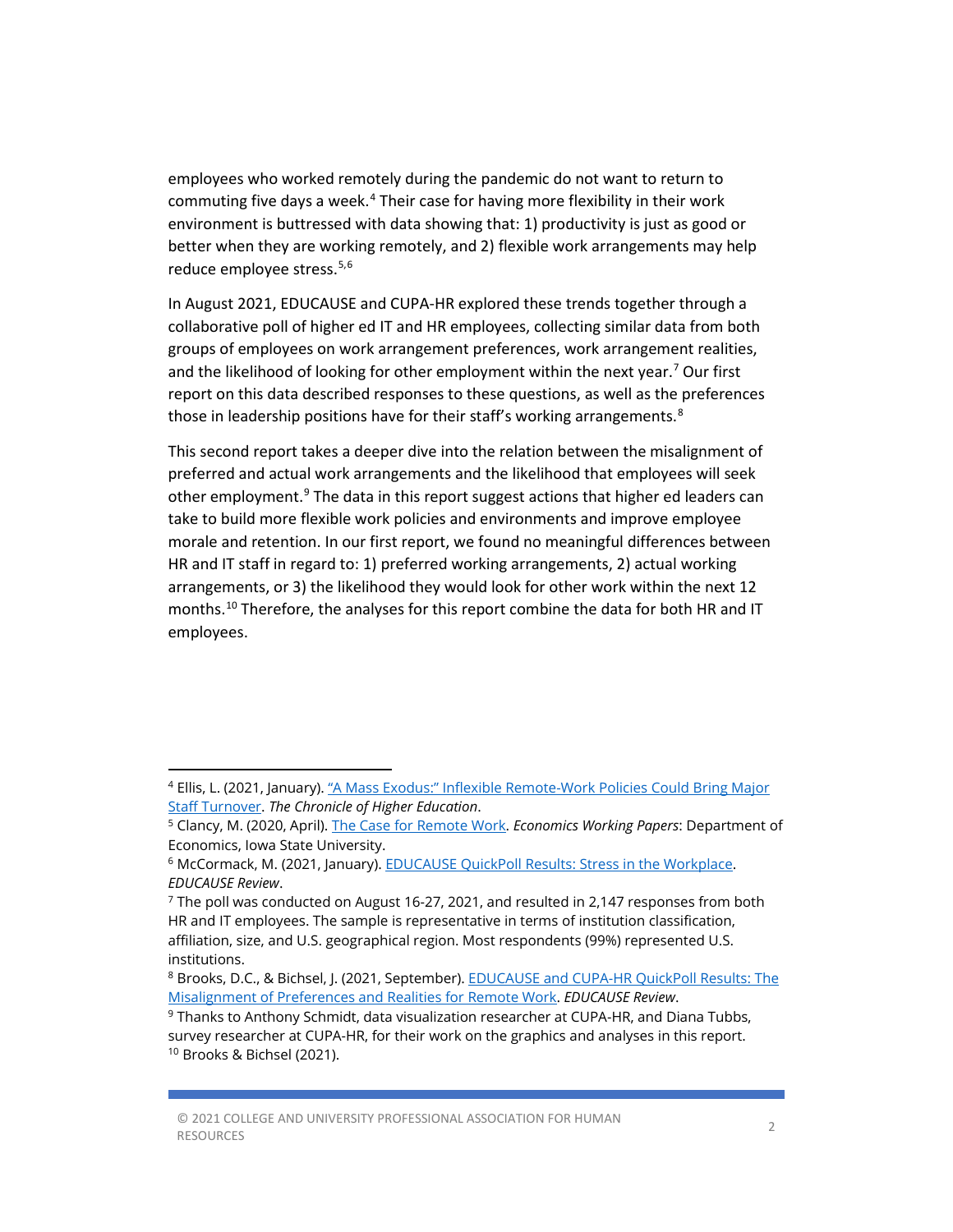employees who worked remotely during the pandemic do not want to return to commuting five days a week.<sup>[4](#page-1-0)</sup> Their case for having more flexibility in their work environment is buttressed with data showing that: 1) productivity is just as good or better when they are working remotely, and 2) flexible work arrangements may help reduce employee stress.<sup>5,[6](#page-1-2)</sup>

In August 2021, EDUCAUSE and CUPA-HR explored these trends together through a collaborative poll of higher ed IT and HR employees, collecting similar data from both groups of employees on work arrangement preferences, work arrangement realities, and the likelihood of looking for other employment within the next year.<sup>[7](#page-1-3)</sup> Our first report on this data described responses to these questions, as well as the preferences those in leadership positions have for their staff's working arrangements.<sup>[8](#page-1-4)</sup>

This second report takes a deeper dive into the relation between the misalignment of preferred and actual work arrangements and the likelihood that employees will seek other employment.<sup>9</sup> The data in this report suggest actions that higher ed leaders can take to build more flexible work policies and environments and improve employee morale and retention. In our first report, we found no meaningful differences between HR and IT staff in regard to: 1) preferred working arrangements, 2) actual working arrangements, or 3) the likelihood they would look for other work within the next 12 months.[10](#page-1-6) Therefore, the analyses for this report combine the data for both HR and IT employees.

<span id="page-1-0"></span><sup>4</sup> Ellis, L. (2021, January)[. "A Mass Exodus:" Inflexible Remote-Work Policies Could Bring Major](https://www.chronicle.com/article/a-mass-exodus-inflexible-remote-work-policies-may-bring-major-staff-turnover-for-colleges?utm_source=Iterable&utm_medium=email&utm_campaign=campaign_2665629_nl_Academe-Today_date_20210802&cid=at&source=ams&sourceId=4036835&cid2=gen_login_refresh)  [Staff Turnover.](https://www.chronicle.com/article/a-mass-exodus-inflexible-remote-work-policies-may-bring-major-staff-turnover-for-colleges?utm_source=Iterable&utm_medium=email&utm_campaign=campaign_2665629_nl_Academe-Today_date_20210802&cid=at&source=ams&sourceId=4036835&cid2=gen_login_refresh) *The Chronicle of Higher Education*.

<span id="page-1-1"></span><sup>5</sup> Clancy, M. (2020, April). [The Case for Remote Work.](https://lib.dr.iastate.edu/econ_workingpapers/102/) *Economics Working Papers*: Department of Economics, Iowa State University.

<span id="page-1-2"></span><sup>6</sup> McCormack, M. (2021, January)[. EDUCAUSE QuickPoll Results: Stress in the Workplace.](https://er.educause.edu/blogs/2021/1/educause-quickpoll-results-stress-in-the-workplace) *EDUCAUSE Review*.

<span id="page-1-3"></span> $7$  The poll was conducted on August 16-27, 2021, and resulted in 2,147 responses from both HR and IT employees. The sample is representative in terms of institution classification, affiliation, size, and U.S. geographical region. Most respondents (99%) represented U.S. institutions.

<span id="page-1-4"></span><sup>8</sup> Brooks, D.C., & Bichsel, J. (2021, September). [EDUCAUSE and CUPA-HR QuickPoll Results: The](https://er.educause.edu/articles/2021/9/educause-and-cupa-hr-quickpoll-results-the-misalignment-of-preferences-and-realities-for-remote-work)  [Misalignment of Preferences and Realities for Remote Work.](https://er.educause.edu/articles/2021/9/educause-and-cupa-hr-quickpoll-results-the-misalignment-of-preferences-and-realities-for-remote-work) *EDUCAUSE Review*.

<span id="page-1-6"></span><span id="page-1-5"></span><sup>9</sup> Thanks to Anthony Schmidt, data visualization researcher at CUPA-HR, and Diana Tubbs, survey researcher at CUPA-HR, for their work on the graphics and analyses in this report. <sup>10</sup> Brooks & Bichsel (2021).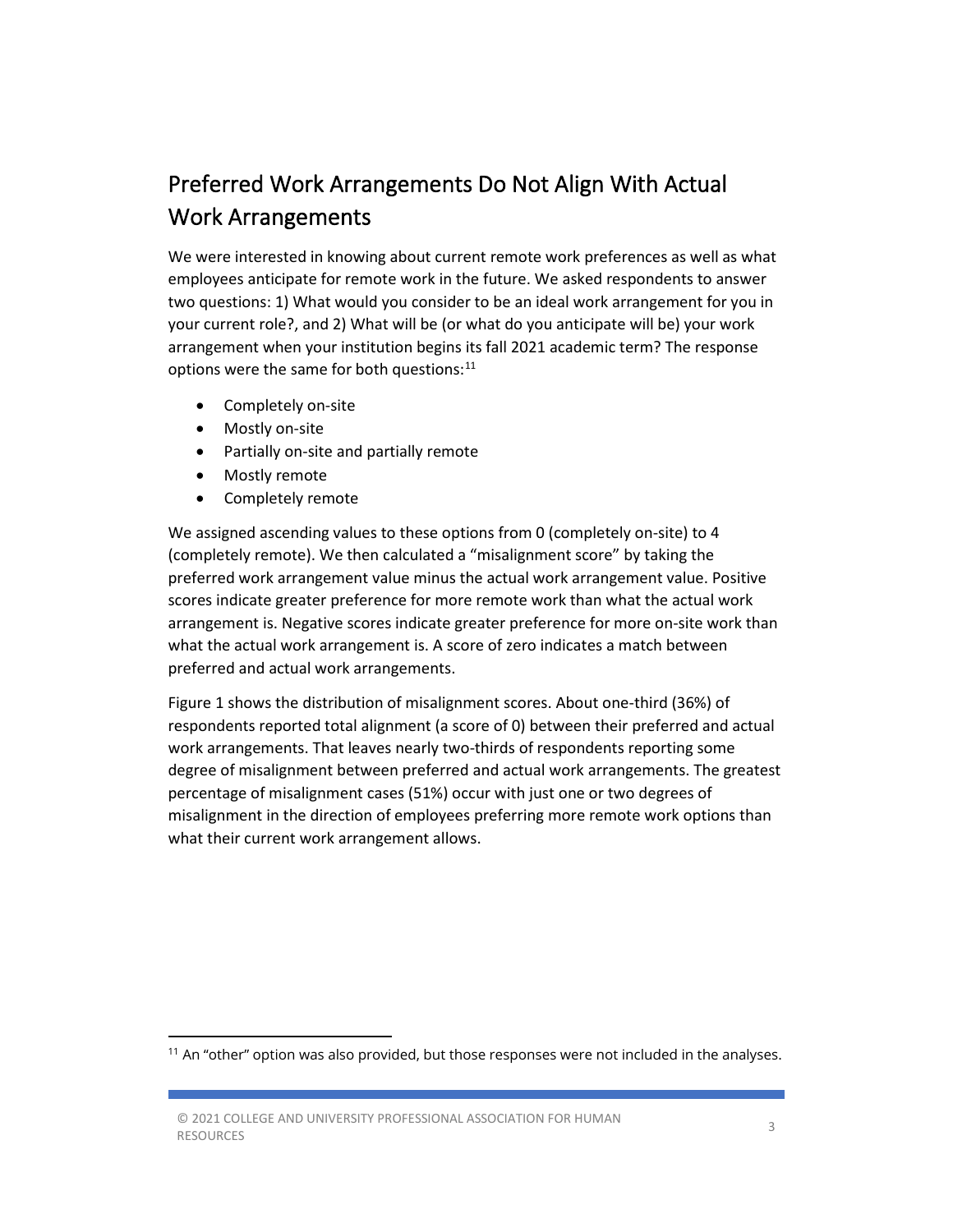## Preferred Work Arrangements Do Not Align With Actual Work Arrangements

We were interested in knowing about current remote work preferences as well as what employees anticipate for remote work in the future. We asked respondents to answer two questions: 1) What would you consider to be an ideal work arrangement for you in your current role?, and 2) What will be (or what do you anticipate will be) your work arrangement when your institution begins its fall 2021 academic term? The response options were the same for both questions: $^{11}$  $^{11}$  $^{11}$ 

- Completely on-site
- Mostly on-site
- Partially on-site and partially remote
- Mostly remote
- Completely remote

We assigned ascending values to these options from 0 (completely on-site) to 4 (completely remote). We then calculated a "misalignment score" by taking the preferred work arrangement value minus the actual work arrangement value. Positive scores indicate greater preference for more remote work than what the actual work arrangement is. Negative scores indicate greater preference for more on-site work than what the actual work arrangement is. A score of zero indicates a match between preferred and actual work arrangements.

Figure 1 shows the distribution of misalignment scores. About one-third (36%) of respondents reported total alignment (a score of 0) between their preferred and actual work arrangements. That leaves nearly two-thirds of respondents reporting some degree of misalignment between preferred and actual work arrangements. The greatest percentage of misalignment cases (51%) occur with just one or two degrees of misalignment in the direction of employees preferring more remote work options than what their current work arrangement allows.

<span id="page-2-0"></span> $11$  An "other" option was also provided, but those responses were not included in the analyses.

<sup>© 2021</sup> COLLEGE AND UNIVERSITY PROFESSIONAL ASSOCIATION FOR HUMAN RESOURCES 3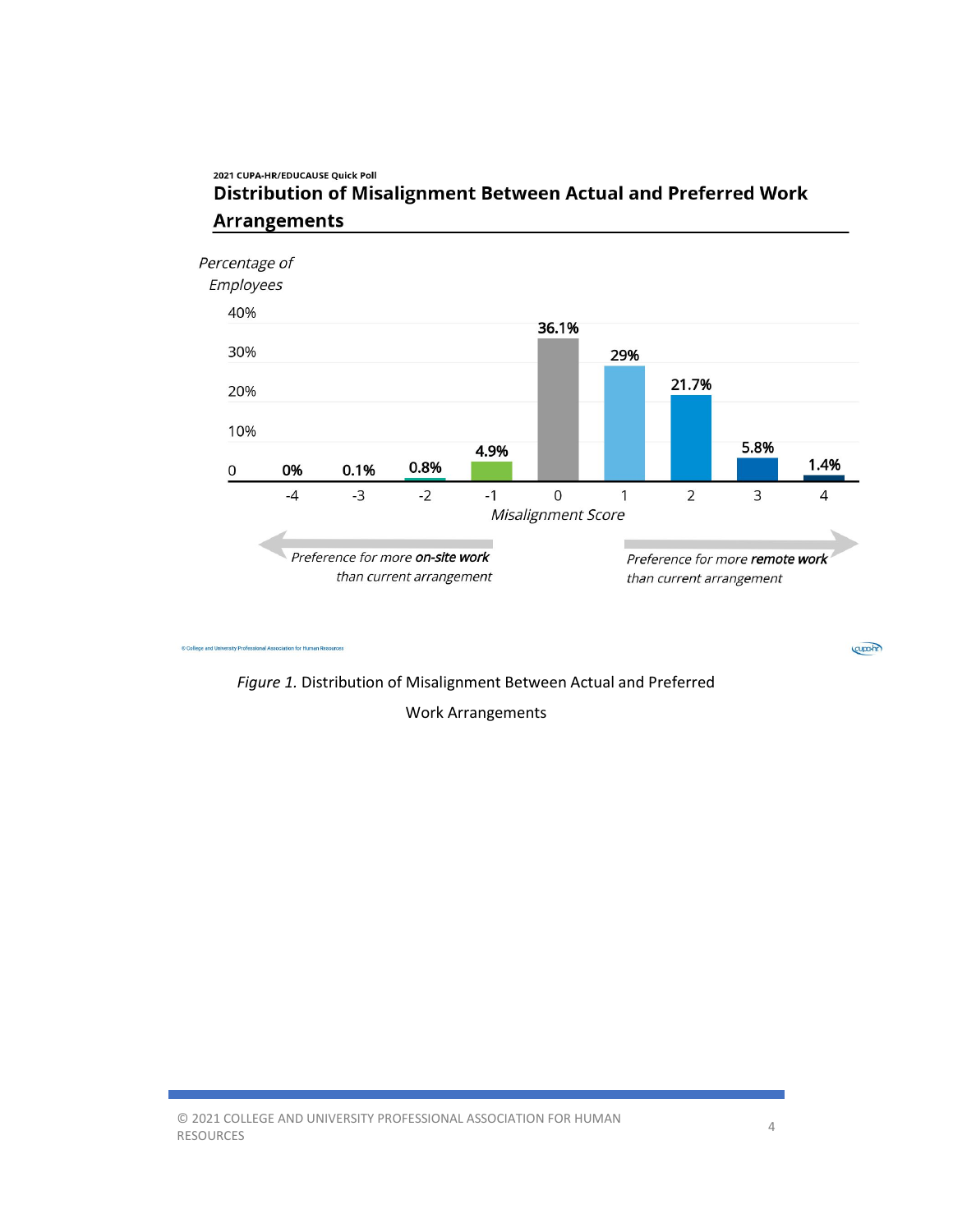#### 2021 CUPA-HR/EDUCAUSE Quick Poll Distribution of Misalignment Between Actual and Preferred Work **Arrangements**



*Figure 1.* Distribution of Misalignment Between Actual and Preferred

Work Arrangements

cupa-hr.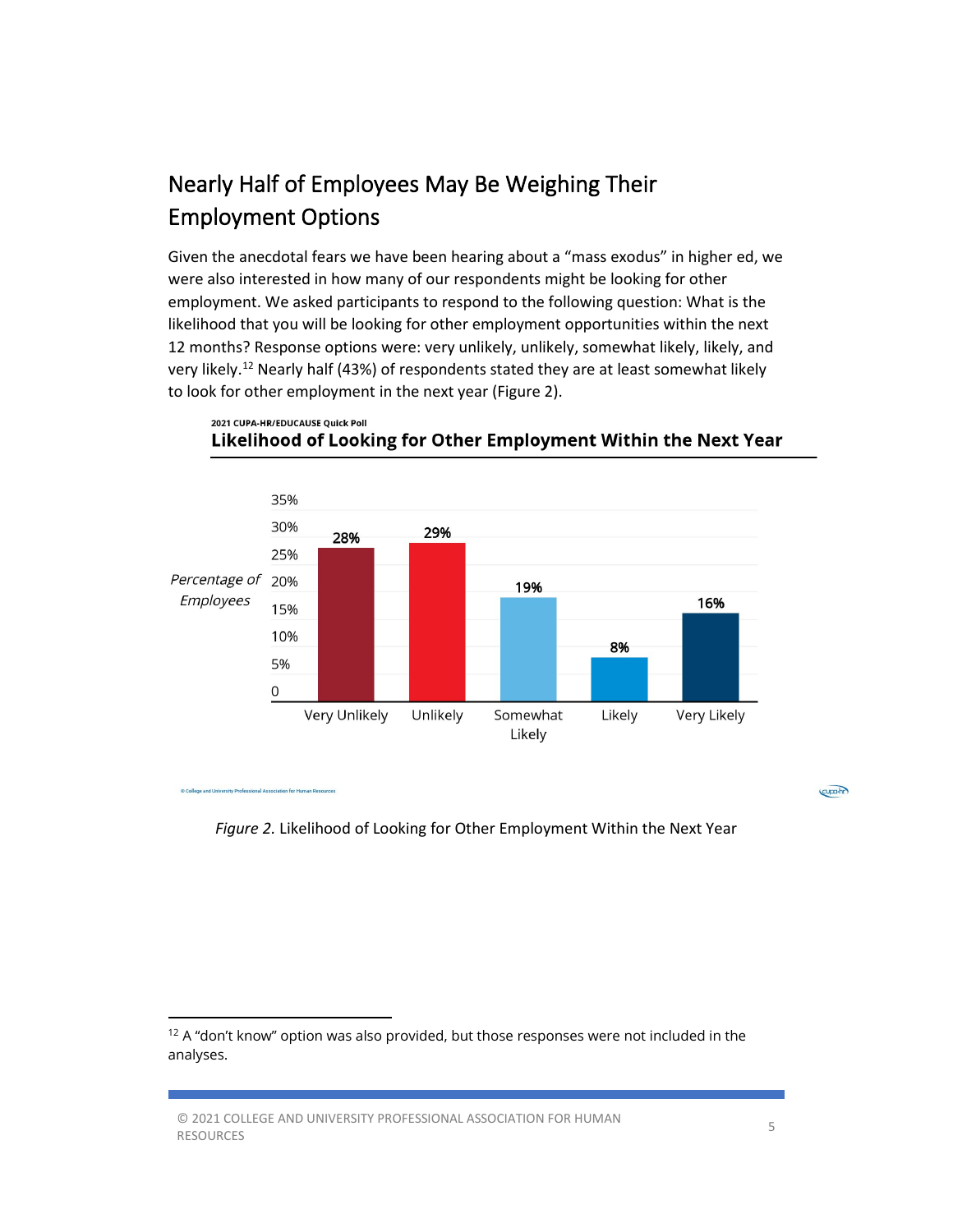## Nearly Half of Employees May Be Weighing Their Employment Options

Given the anecdotal fears we have been hearing about a "mass exodus" in higher ed, we were also interested in how many of our respondents might be looking for other employment. We asked participants to respond to the following question: What is the likelihood that you will be looking for other employment opportunities within the next 12 months? Response options were: very unlikely, unlikely, somewhat likely, likely, and very likely.[12](#page-4-0) Nearly half (43%) of respondents stated they are at least somewhat likely to look for other employment in the next year (Figure 2).



2021 CUPA-HR/EDUCAUSE Quick Poll Likelihood of Looking for Other Employment Within the Next Year

*Figure 2.* Likelihood of Looking for Other Employment Within the Next Year

© 2021 COLLEGE AND UNIVERSITY PROFESSIONAL ASSOCIATION FOR HUMAN S 2021 COLLOL AND ONNERSATION LOSSIONAL ASSOCIATION FOR HOMANY

onal Association for Human I

cupatin

<span id="page-4-0"></span> $12$  A "don't know" option was also provided, but those responses were not included in the analyses.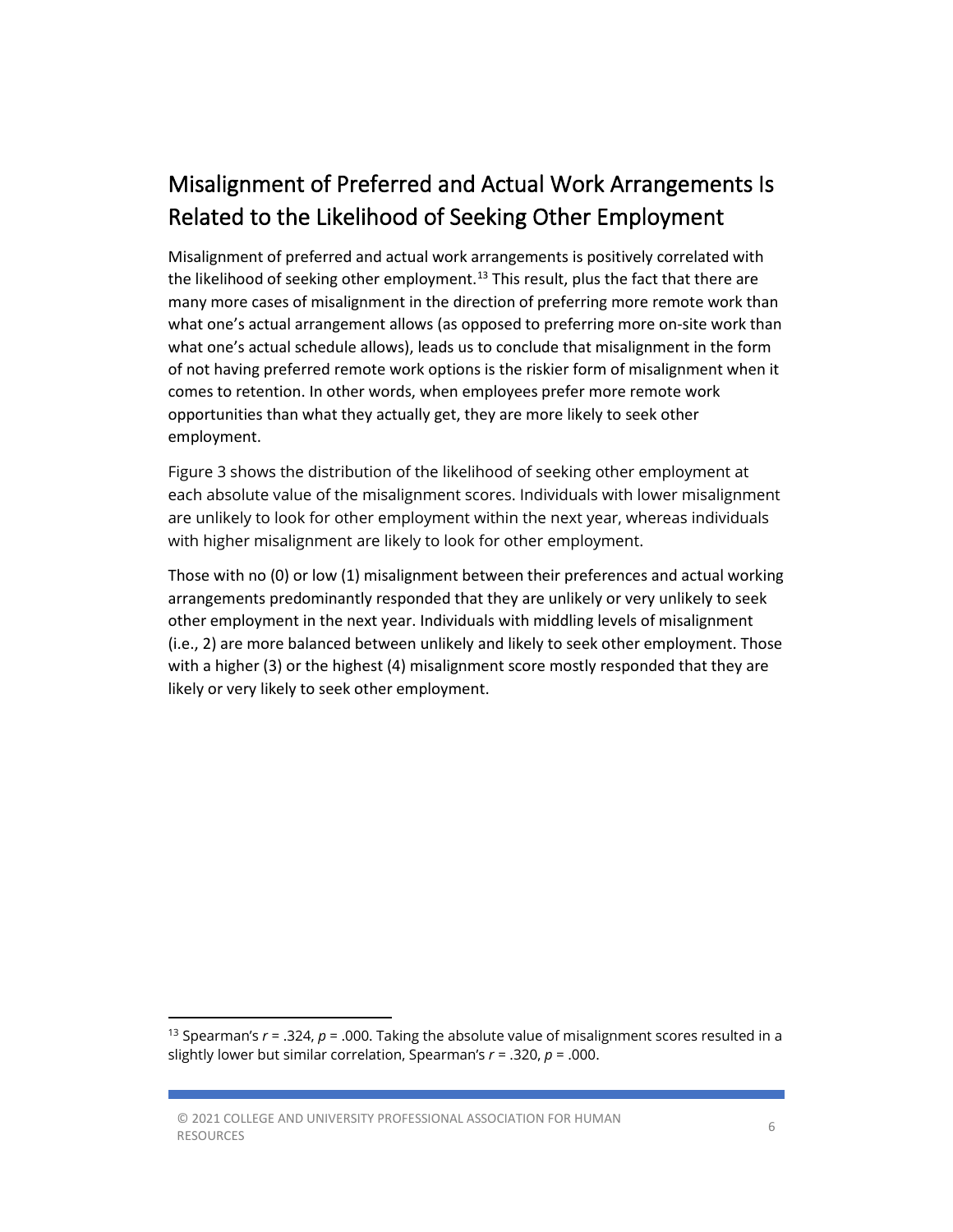## Misalignment of Preferred and Actual Work Arrangements Is Related to the Likelihood of Seeking Other Employment

Misalignment of preferred and actual work arrangements is positively correlated with the likelihood of seeking other employment.<sup>[13](#page-5-0)</sup> This result, plus the fact that there are many more cases of misalignment in the direction of preferring more remote work than what one's actual arrangement allows (as opposed to preferring more on-site work than what one's actual schedule allows), leads us to conclude that misalignment in the form of not having preferred remote work options is the riskier form of misalignment when it comes to retention. In other words, when employees prefer more remote work opportunities than what they actually get, they are more likely to seek other employment.

Figure 3 shows the distribution of the likelihood of seeking other employment at each absolute value of the misalignment scores. Individuals with lower misalignment are unlikely to look for other employment within the next year, whereas individuals with higher misalignment are likely to look for other employment.

Those with no (0) or low (1) misalignment between their preferences and actual working arrangements predominantly responded that they are unlikely or very unlikely to seek other employment in the next year. Individuals with middling levels of misalignment (i.e., 2) are more balanced between unlikely and likely to seek other employment. Those with a higher (3) or the highest (4) misalignment score mostly responded that they are likely or very likely to seek other employment.

<span id="page-5-0"></span><sup>&</sup>lt;sup>13</sup> Spearman's  $r = .324$ ,  $p = .000$ . Taking the absolute value of misalignment scores resulted in a slightly lower but similar correlation, Spearman's *r* = .320, *p* = .000.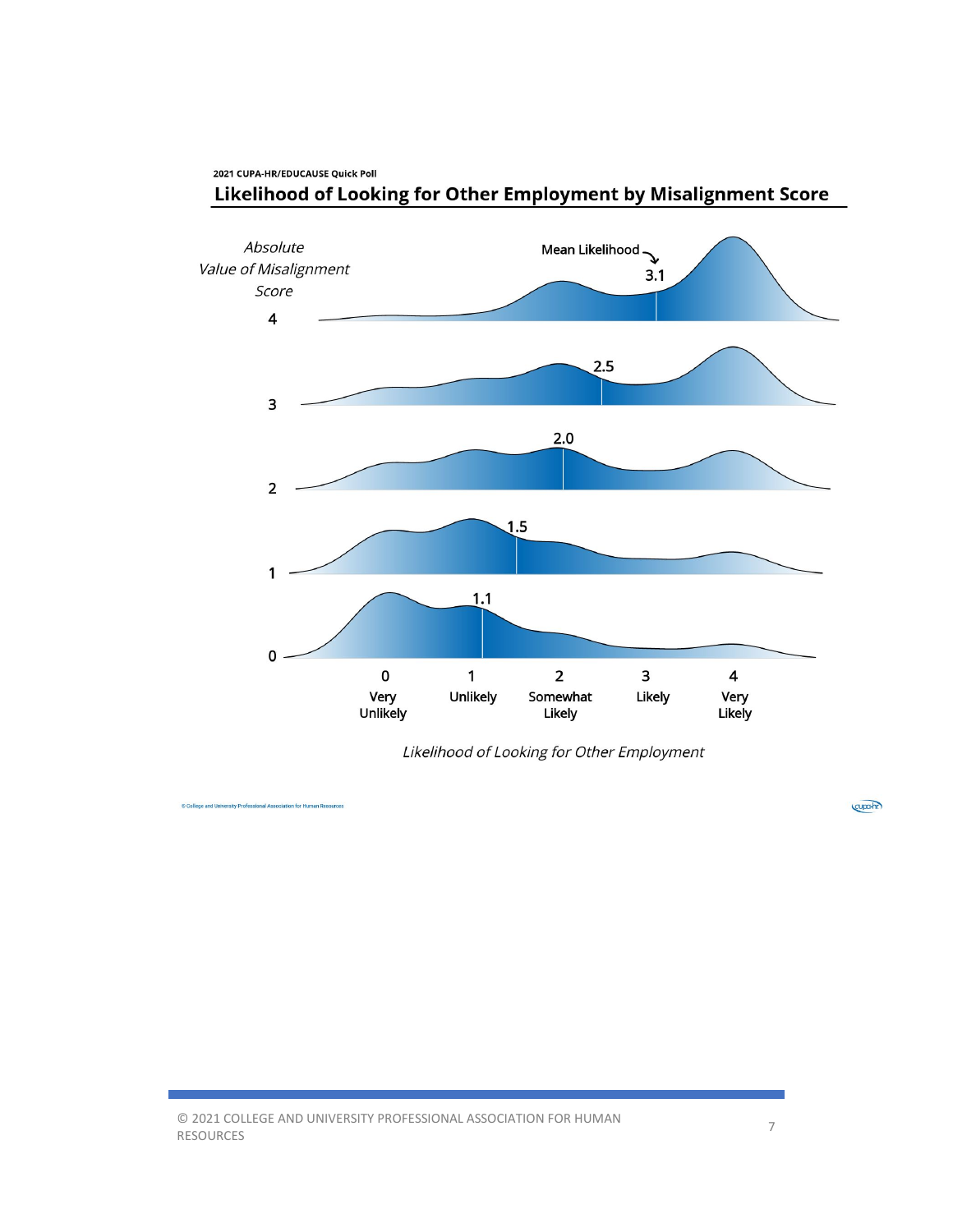2021 CUPA-HR/EDUCAUSE Quick Poll



Likelihood of Looking for Other Employment by Misalignment Score

Likelihood of Looking for Other Employment

ge and University Professional Association for Human Re

cupa-hr.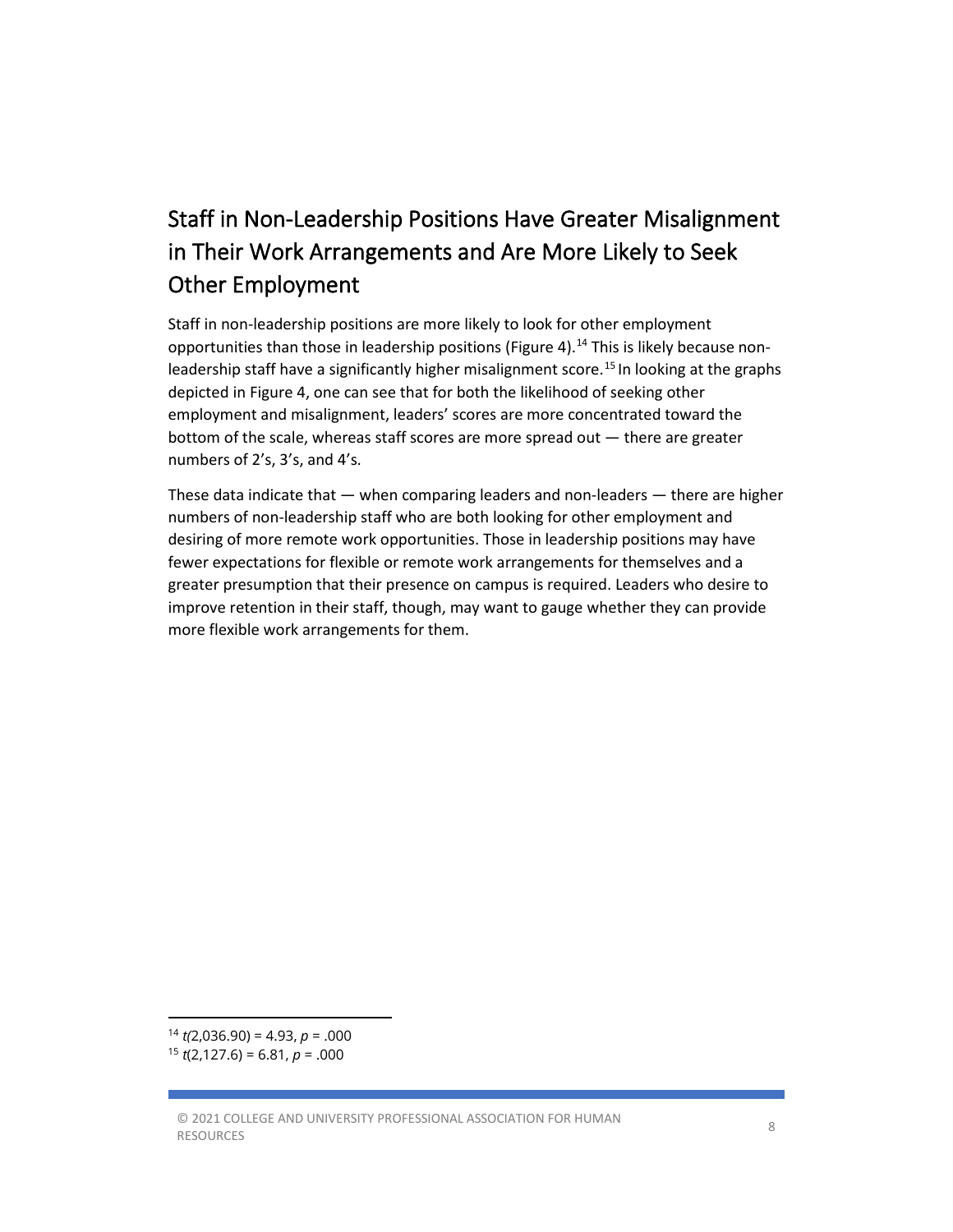# Staff in Non-Leadership Positions Have Greater Misalignment in Their Work Arrangements and Are More Likely to Seek Other Employment

Staff in non-leadership positions are more likely to look for other employment opportunities than those in leadership positions (Figure 4).<sup>[14](#page-7-0)</sup> This is likely because non-leadership staff have a significantly higher misalignment score.<sup>[15](#page-7-1)</sup> In looking at the graphs depicted in Figure 4, one can see that for both the likelihood of seeking other employment and misalignment, leaders' scores are more concentrated toward the bottom of the scale, whereas staff scores are more spread out — there are greater numbers of 2's, 3's, and 4's.

These data indicate that — when comparing leaders and non-leaders — there are higher numbers of non-leadership staff who are both looking for other employment and desiring of more remote work opportunities. Those in leadership positions may have fewer expectations for flexible or remote work arrangements for themselves and a greater presumption that their presence on campus is required. Leaders who desire to improve retention in their staff, though, may want to gauge whether they can provide more flexible work arrangements for them.

<span id="page-7-1"></span><span id="page-7-0"></span><sup>14</sup> *t(*2,036.90) = 4.93, *p* = .000  $15$  *t*(2,127.6) = 6.81, *p* = .000

<sup>© 2021</sup> COLLEGE AND UNIVERSITY PROFESSIONAL ASSOCIATION FOR HUMAN RESOURCES 8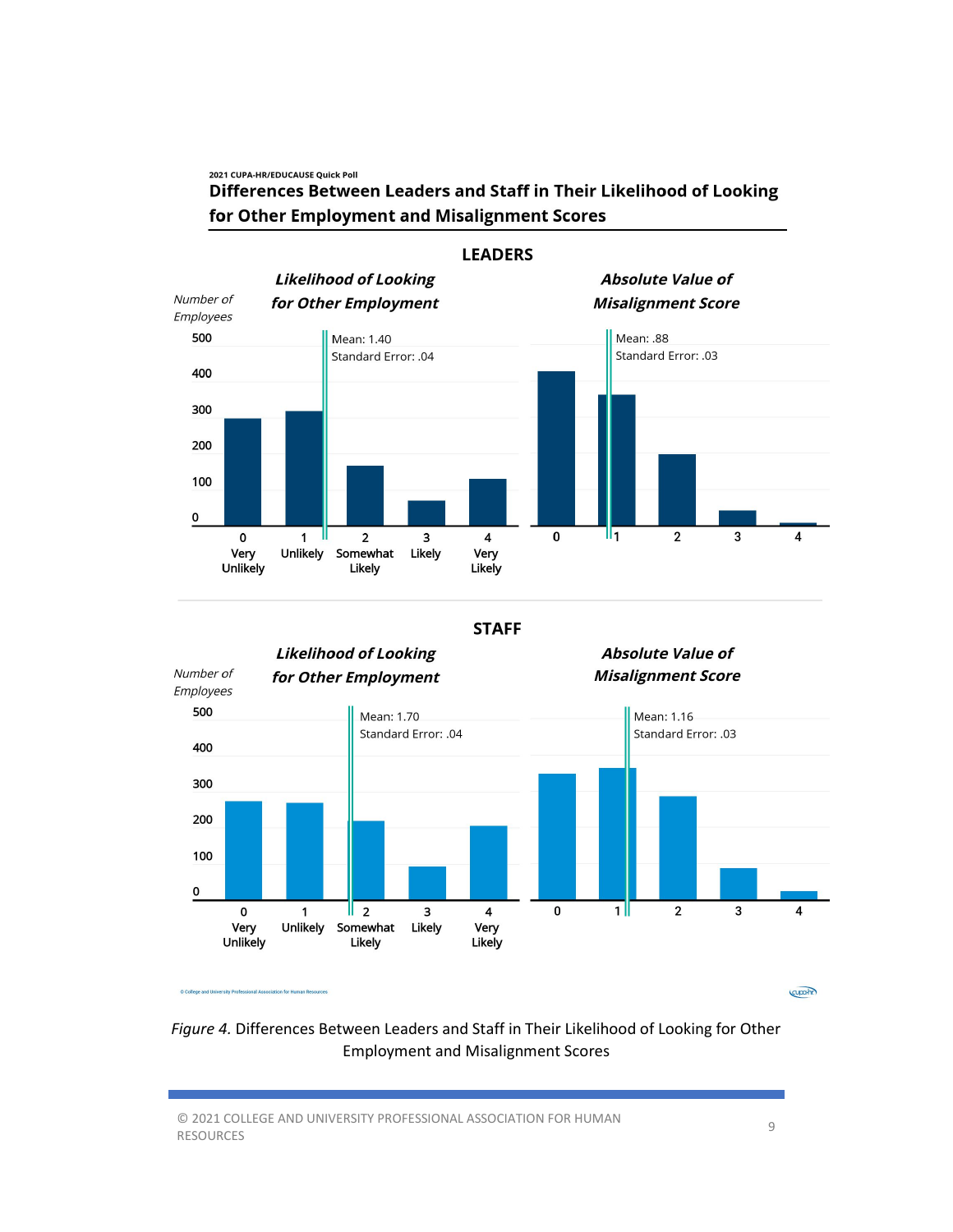2021 CUPA-HR/EDUCAUSE Quick Poll Differences Between Leaders and Staff in Their Likelihood of Looking for Other Employment and Misalignment Scores









© 2021 COLLEGE AND UNIVERSITY PROFESSIONAL ASSOCIATION FOR HUMAN RESOURCES <sup>9</sup>